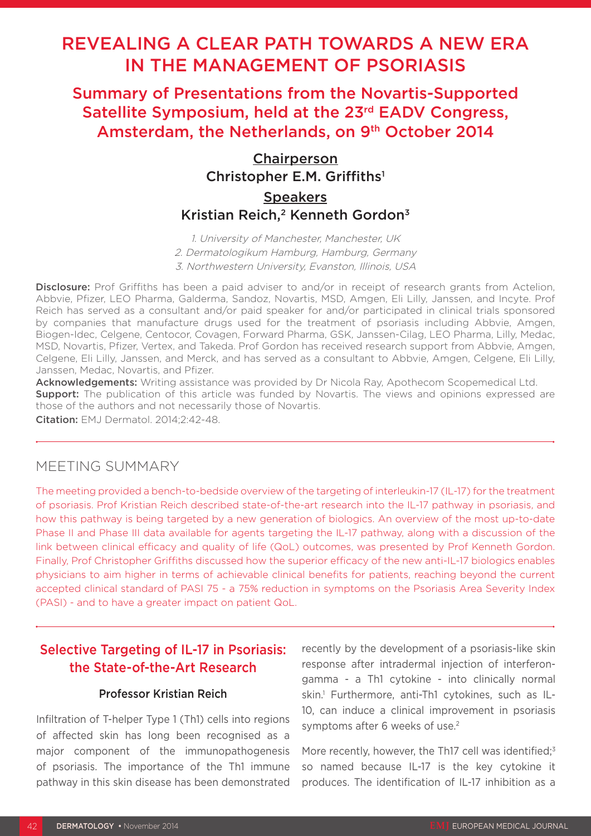# REVEALING A CLEAR PATH TOWARDS A NEW ERA IN THE MANAGEMENT OF PSORIASIS

Summary of Presentations from the Novartis-Supported Satellite Symposium, held at the 23<sup>rd</sup> EADV Congress, Amsterdam, the Netherlands, on 9<sup>th</sup> October 2014

## Chairperson Christopher E.M. Griffiths<sup>1</sup> **Speakers** Kristian Reich.<sup>2</sup> Kenneth Gordon<sup>3</sup>

1. University of Manchester, Manchester, UK 2. Dermatologikum Hamburg, Hamburg, Germany 3. Northwestern University, Evanston, Illinois, USA

Disclosure: Prof Griffiths has been a paid adviser to and/or in receipt of research grants from Actelion, Abbvie, Pfizer, LEO Pharma, Galderma, Sandoz, Novartis, MSD, Amgen, Eli Lilly, Janssen, and Incyte. Prof Reich has served as a consultant and/or paid speaker for and/or participated in clinical trials sponsored by companies that manufacture drugs used for the treatment of psoriasis including Abbvie, Amgen, Biogen-Idec, Celgene, Centocor, Covagen, Forward Pharma, GSK, Janssen-Cilag, LEO Pharma, Lilly, Medac, MSD, Novartis, Pfizer, Vertex, and Takeda. Prof Gordon has received research support from Abbvie, Amgen, Celgene, Eli Lilly, Janssen, and Merck, and has served as a consultant to Abbvie, Amgen, Celgene, Eli Lilly, Janssen, Medac, Novartis, and Pfizer.

Acknowledgements: Writing assistance was provided by Dr Nicola Ray, Apothecom Scopemedical Ltd. **Support:** The publication of this article was funded by Novartis. The views and opinions expressed are those of the authors and not necessarily those of Novartis.

Citation: EMJ Dermatol. 2014;2:42-48.

## MEETING SUMMARY

The meeting provided a bench-to-bedside overview of the targeting of interleukin-17 (IL-17) for the treatment of psoriasis. Prof Kristian Reich described state-of-the-art research into the IL-17 pathway in psoriasis, and how this pathway is being targeted by a new generation of biologics. An overview of the most up-to-date Phase II and Phase III data available for agents targeting the IL-17 pathway, along with a discussion of the link between clinical efficacy and quality of life (QoL) outcomes, was presented by Prof Kenneth Gordon. Finally, Prof Christopher Griffiths discussed how the superior efficacy of the new anti-IL-17 biologics enables physicians to aim higher in terms of achievable clinical benefits for patients, reaching beyond the current accepted clinical standard of PASI 75 - a 75% reduction in symptoms on the Psoriasis Area Severity Index (PASI) - and to have a greater impact on patient QoL.

## Selective Targeting of IL-17 in Psoriasis: the State-of-the-Art Research

#### Professor Kristian Reich

Infiltration of T-helper Type 1 (Th1) cells into regions of affected skin has long been recognised as a major component of the immunopathogenesis of psoriasis. The importance of the Th1 immune pathway in this skin disease has been demonstrated recently by the development of a psoriasis-like skin response after intradermal injection of interferongamma - a Th1 cytokine - into clinically normal skin.1 Furthermore, anti-Th1 cytokines, such as IL-10, can induce a clinical improvement in psoriasis symptoms after 6 weeks of use.<sup>2</sup>

More recently, however, the Th17 cell was identified;<sup>3</sup> so named because IL-17 is the key cytokine it produces. The identification of IL-17 inhibition as a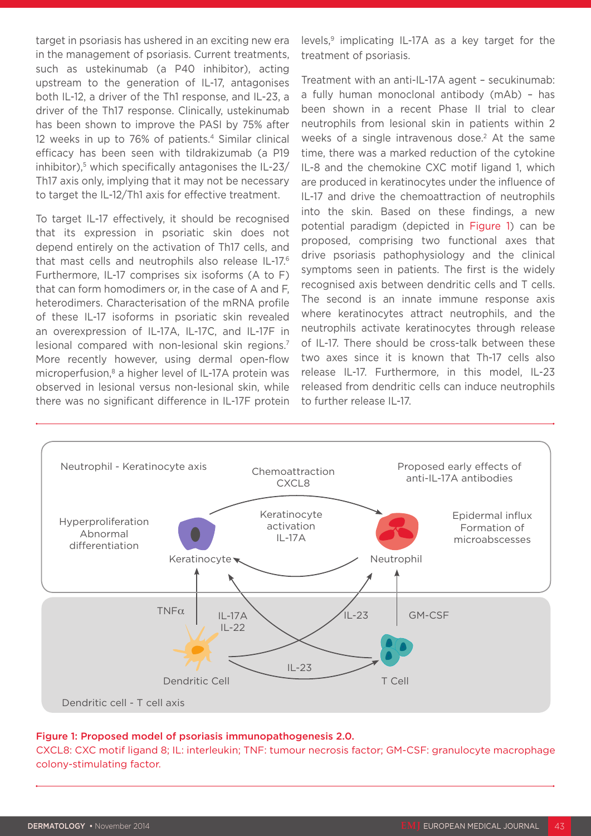target in psoriasis has ushered in an exciting new era in the management of psoriasis. Current treatments, such as ustekinumab (a P40 inhibitor), acting upstream to the generation of IL-17, antagonises both IL-12, a driver of the Th1 response, and IL-23, a driver of the Th17 response. Clinically, ustekinumab has been shown to improve the PASI by 75% after 12 weeks in up to 76% of patients.<sup>4</sup> Similar clinical efficacy has been seen with tildrakizumab (a P19 inhibitor), $5$  which specifically antagonises the IL-23/ Th17 axis only, implying that it may not be necessary to target the IL-12/Th1 axis for effective treatment.

To target IL-17 effectively, it should be recognised that its expression in psoriatic skin does not depend entirely on the activation of Th17 cells, and that mast cells and neutrophils also release IL-17.6 Furthermore, IL-17 comprises six isoforms (A to F) that can form homodimers or, in the case of A and F, heterodimers. Characterisation of the mRNA profile of these IL-17 isoforms in psoriatic skin revealed an overexpression of IL-17A, IL-17C, and IL-17F in lesional compared with non-lesional skin regions.<sup>7</sup> More recently however, using dermal open-flow microperfusion,<sup>8</sup> a higher level of IL-17A protein was observed in lesional versus non-lesional skin, while there was no significant difference in IL-17F protein

levels,<sup>9</sup> implicating IL-17A as a key target for the treatment of psoriasis.

Treatment with an anti-IL-17A agent – secukinumab: a fully human monoclonal antibody (mAb) – has been shown in a recent Phase II trial to clear neutrophils from lesional skin in patients within 2 weeks of a single intravenous dose.<sup>2</sup> At the same time, there was a marked reduction of the cytokine IL-8 and the chemokine CXC motif ligand 1, which are produced in keratinocytes under the influence of IL-17 and drive the chemoattraction of neutrophils into the skin. Based on these findings, a new potential paradigm (depicted in Figure 1) can be proposed, comprising two functional axes that drive psoriasis pathophysiology and the clinical symptoms seen in patients. The first is the widely recognised axis between dendritic cells and T cells. The second is an innate immune response axis where keratinocytes attract neutrophils, and the neutrophils activate keratinocytes through release of IL-17. There should be cross-talk between these two axes since it is known that Th-17 cells also release IL-17. Furthermore, in this model, IL-23 released from dendritic cells can induce neutrophils to further release IL-17.



#### Figure 1: Proposed model of psoriasis immunopathogenesis 2.0.

CXCL8: CXC motif ligand 8; IL: interleukin; TNF: tumour necrosis factor; GM-CSF: granulocyte macrophage colony-stimulating factor.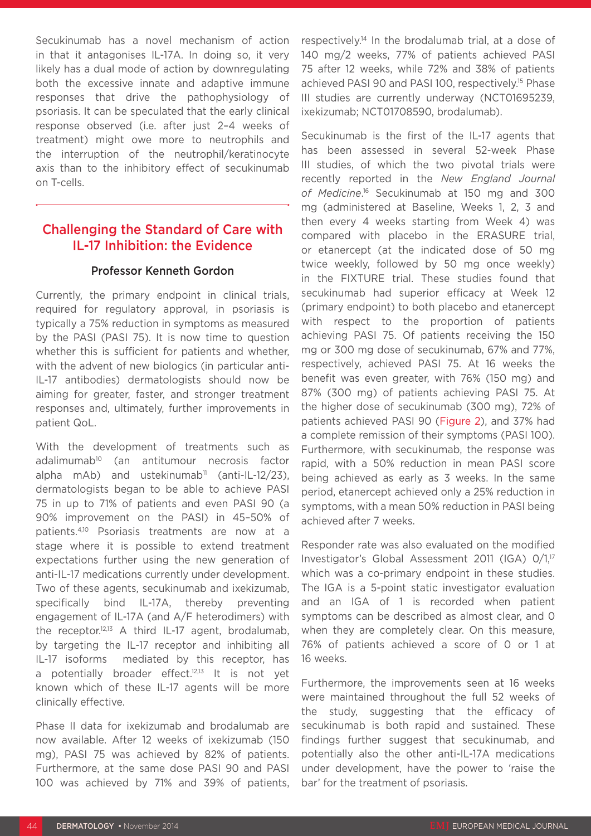Secukinumab has a novel mechanism of action in that it antagonises IL-17A. In doing so, it very likely has a dual mode of action by downregulating both the excessive innate and adaptive immune responses that drive the pathophysiology of psoriasis. It can be speculated that the early clinical response observed (i.e. after just 2–4 weeks of treatment) might owe more to neutrophils and the interruption of the neutrophil/keratinocyte axis than to the inhibitory effect of secukinumab on T-cells.

## Challenging the Standard of Care with IL-17 Inhibition: the Evidence

#### Professor Kenneth Gordon

Currently, the primary endpoint in clinical trials, required for regulatory approval, in psoriasis is typically a 75% reduction in symptoms as measured by the PASI (PASI 75). It is now time to question whether this is sufficient for patients and whether, with the advent of new biologics (in particular anti-IL-17 antibodies) dermatologists should now be aiming for greater, faster, and stronger treatment responses and, ultimately, further improvements in patient QoL.

With the development of treatments such as adalimumab<sup>10</sup> (an antitumour necrosis factor alpha mAb) and ustekinumab<sup>11</sup> (anti-IL-12/23), dermatologists began to be able to achieve PASI 75 in up to 71% of patients and even PASI 90 (a 90% improvement on the PASI) in 45–50% of patients.4,10 Psoriasis treatments are now at a stage where it is possible to extend treatment expectations further using the new generation of anti-IL-17 medications currently under development. Two of these agents, secukinumab and ixekizumab, specifically bind IL-17A, thereby preventing engagement of IL-17A (and A/F heterodimers) with the receptor.12,13 A third IL-17 agent, brodalumab, by targeting the IL-17 receptor and inhibiting all IL-17 isoforms mediated by this receptor, has a potentially broader effect.<sup>12,13</sup> It is not yet known which of these IL-17 agents will be more clinically effective.

Phase II data for ixekizumab and brodalumab are now available. After 12 weeks of ixekizumab (150 mg), PASI 75 was achieved by 82% of patients. Furthermore, at the same dose PASI 90 and PASI 100 was achieved by 71% and 39% of patients, respectively.14 In the brodalumab trial, at a dose of 140 mg/2 weeks, 77% of patients achieved PASI 75 after 12 weeks, while 72% and 38% of patients achieved PASI 90 and PASI 100, respectively.15 Phase III studies are currently underway (NCT01695239, ixekizumab; NCT01708590, brodalumab).

Secukinumab is the first of the IL-17 agents that has been assessed in several 52-week Phase III studies, of which the two pivotal trials were recently reported in the *New England Journal of Medicine*. 16 Secukinumab at 150 mg and 300 mg (administered at Baseline, Weeks 1, 2, 3 and then every 4 weeks starting from Week 4) was compared with placebo in the ERASURE trial, or etanercept (at the indicated dose of 50 mg twice weekly, followed by 50 mg once weekly) in the FIXTURE trial. These studies found that secukinumab had superior efficacy at Week 12 (primary endpoint) to both placebo and etanercept with respect to the proportion of patients achieving PASI 75. Of patients receiving the 150 mg or 300 mg dose of secukinumab, 67% and 77%, respectively, achieved PASI 75. At 16 weeks the benefit was even greater, with 76% (150 mg) and 87% (300 mg) of patients achieving PASI 75. At the higher dose of secukinumab (300 mg), 72% of patients achieved PASI 90 (Figure 2), and 37% had a complete remission of their symptoms (PASI 100). Furthermore, with secukinumab, the response was rapid, with a 50% reduction in mean PASI score being achieved as early as 3 weeks. In the same period, etanercept achieved only a 25% reduction in symptoms, with a mean 50% reduction in PASI being achieved after 7 weeks.

Responder rate was also evaluated on the modified Investigator's Global Assessment 2011 (IGA) 0/1,<sup>17</sup> which was a co-primary endpoint in these studies. The IGA is a 5-point static investigator evaluation and an IGA of 1 is recorded when patient symptoms can be described as almost clear, and 0 when they are completely clear. On this measure, 76% of patients achieved a score of 0 or 1 at 16 weeks.

Furthermore, the improvements seen at 16 weeks were maintained throughout the full 52 weeks of the study, suggesting that the efficacy of secukinumab is both rapid and sustained. These findings further suggest that secukinumab, and potentially also the other anti-IL-17A medications under development, have the power to 'raise the bar' for the treatment of psoriasis.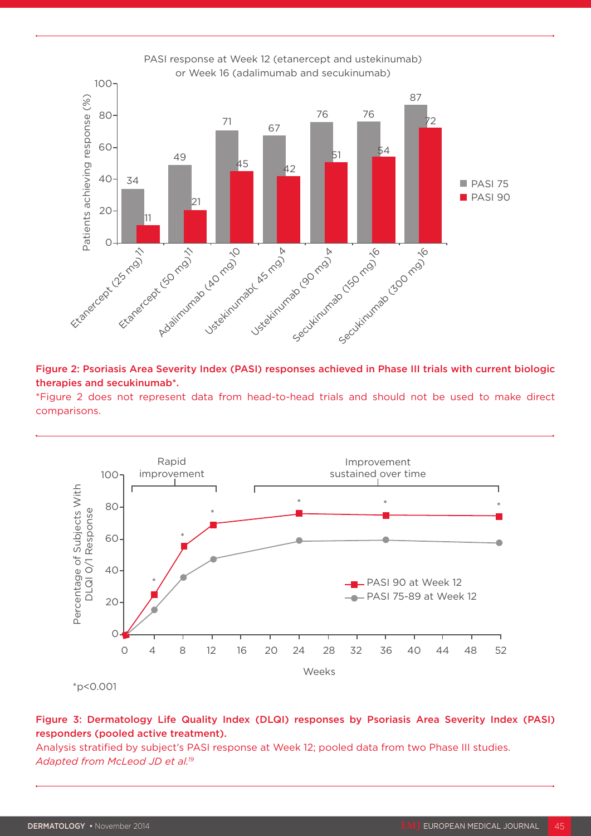

Figure 2: Psoriasis Area Severity Index (PASI) responses achieved in Phase III trials with current biologic therapies and secukinumab\*.

\*Figure 2 does not represent data from head-to-head trials and should not be used to make direct



Figure 3: Dermatology Life Quality Index (DLQI) responses by Psoriasis Area Severity Index (PASI) responders (pooled active treatment).

Analysis stratified by subject's PASI response at Week 12; pooled data from two Phase III studies.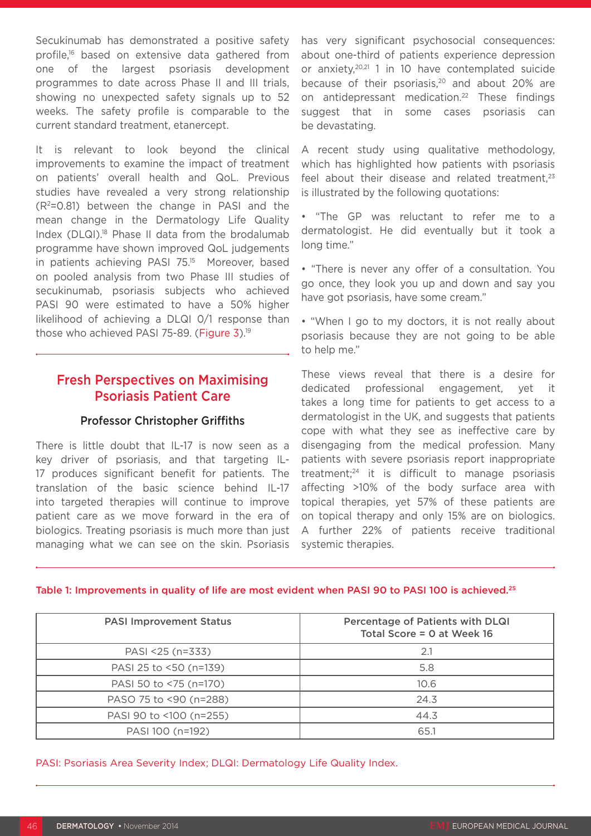Secukinumab has demonstrated a positive safety profile,16 based on extensive data gathered from one of the largest psoriasis development programmes to date across Phase II and III trials, showing no unexpected safety signals up to 52 weeks. The safety profile is comparable to the current standard treatment, etanercept.

It is relevant to look beyond the clinical improvements to examine the impact of treatment on patients' overall health and QoL. Previous studies have revealed a very strong relationship  $(R<sup>2</sup>=0.81)$  between the change in PASI and the mean change in the Dermatology Life Quality Index (DLQI).<sup>18</sup> Phase II data from the brodalumab programme have shown improved QoL judgements in patients achieving PASI 75.<sup>15</sup> Moreover, based on pooled analysis from two Phase III studies of secukinumab, psoriasis subjects who achieved PASI 90 were estimated to have a 50% higher likelihood of achieving a DLQI 0/1 response than those who achieved PASI 75-89. (Figure 3).<sup>19</sup>

### Fresh Perspectives on Maximising Psoriasis Patient Care

#### Professor Christopher Griffiths

There is little doubt that IL-17 is now seen as a key driver of psoriasis, and that targeting IL-17 produces significant benefit for patients. The translation of the basic science behind IL-17 into targeted therapies will continue to improve patient care as we move forward in the era of biologics. Treating psoriasis is much more than just managing what we can see on the skin. Psoriasis

has very significant psychosocial consequences: about one-third of patients experience depression or anxiety,20,21 1 in 10 have contemplated suicide because of their psoriasis, $20$  and about 20% are on antidepressant medication.<sup>22</sup> These findings suggest that in some cases psoriasis can be devastating.

A recent study using qualitative methodology, which has highlighted how patients with psoriasis feel about their disease and related treatment, $23$ is illustrated by the following quotations:

• "The GP was reluctant to refer me to a dermatologist. He did eventually but it took a long time."

• "There is never any offer of a consultation. You go once, they look you up and down and say you have got psoriasis, have some cream."

• "When I go to my doctors, it is not really about psoriasis because they are not going to be able to help me."

These views reveal that there is a desire for dedicated professional engagement, yet it takes a long time for patients to get access to a dermatologist in the UK, and suggests that patients cope with what they see as ineffective care by disengaging from the medical profession. Many patients with severe psoriasis report inappropriate treatment;24 it is difficult to manage psoriasis affecting >10% of the body surface area with topical therapies, yet 57% of these patients are on topical therapy and only 15% are on biologics. A further 22% of patients receive traditional systemic therapies.

#### Table 1: Improvements in quality of life are most evident when PASI 90 to PASI 100 is achieved.<sup>25</sup>

| <b>PASI Improvement Status</b> | <b>Percentage of Patients with DLQI</b><br>Total Score = $0$ at Week 16 |
|--------------------------------|-------------------------------------------------------------------------|
| PASI <25 (n=333)               | 2.1                                                                     |
| PASI 25 to <50 (n=139)         | 5.8                                                                     |
| PASI 50 to <75 (n=170)         | 10.6                                                                    |
| PASO 75 to <90 (n=288)         | 24.3                                                                    |
| PASI 90 to <100 (n=255)        | 44.3                                                                    |
| PASI 100 (n=192)               | 65.1                                                                    |

PASI: Psoriasis Area Severity Index; DLQI: Dermatology Life Quality Index.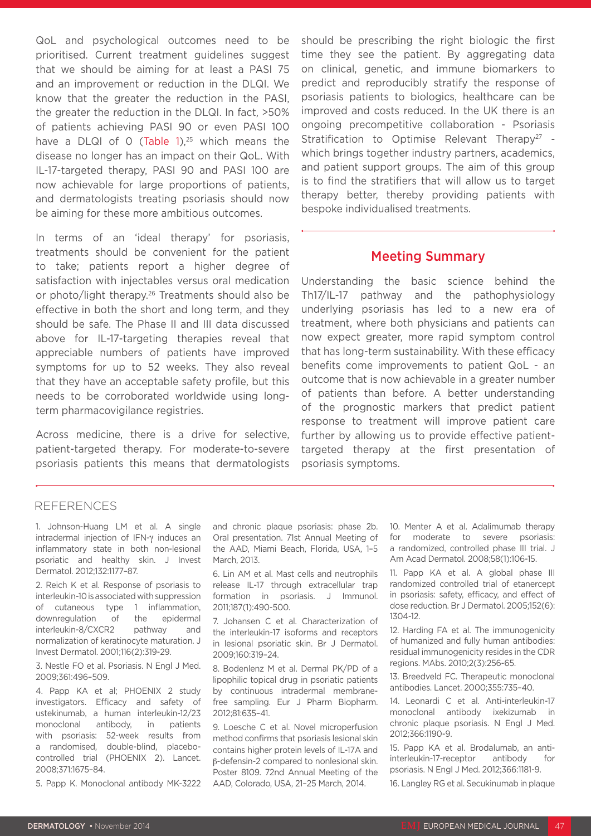QoL and psychological outcomes need to be prioritised. Current treatment guidelines suggest that we should be aiming for at least a PASI 75 and an improvement or reduction in the DLQI. We know that the greater the reduction in the PASI, the greater the reduction in the DLQI. In fact, >50% of patients achieving PASI 90 or even PASI 100 have a DLQI of 0 (Table 1),<sup>25</sup> which means the disease no longer has an impact on their QoL. With IL-17-targeted therapy, PASI 90 and PASI 100 are now achievable for large proportions of patients, and dermatologists treating psoriasis should now be aiming for these more ambitious outcomes.

In terms of an 'ideal therapy' for psoriasis, treatments should be convenient for the patient to take; patients report a higher degree of satisfaction with injectables versus oral medication or photo/light therapy.26 Treatments should also be effective in both the short and long term, and they should be safe. The Phase II and III data discussed above for IL-17-targeting therapies reveal that appreciable numbers of patients have improved symptoms for up to 52 weeks. They also reveal that they have an acceptable safety profile, but this needs to be corroborated worldwide using longterm pharmacovigilance registries.

Across medicine, there is a drive for selective, patient-targeted therapy. For moderate-to-severe psoriasis patients this means that dermatologists should be prescribing the right biologic the first time they see the patient. By aggregating data on clinical, genetic, and immune biomarkers to predict and reproducibly stratify the response of psoriasis patients to biologics, healthcare can be improved and costs reduced. In the UK there is an ongoing precompetitive collaboration - Psoriasis Stratification to Optimise Relevant Therapy<sup>27</sup> which brings together industry partners, academics, and patient support groups. The aim of this group is to find the stratifiers that will allow us to target therapy better, thereby providing patients with bespoke individualised treatments.

#### Meeting Summary

Understanding the basic science behind the Th17/IL-17 pathway and the pathophysiology underlying psoriasis has led to a new era of treatment, where both physicians and patients can now expect greater, more rapid symptom control that has long-term sustainability. With these efficacy benefits come improvements to patient QoL - an outcome that is now achievable in a greater number of patients than before. A better understanding of the prognostic markers that predict patient response to treatment will improve patient care further by allowing us to provide effective patienttargeted therapy at the first presentation of psoriasis symptoms.

#### REFERENCES

1. Johnson-Huang LM et al. A single intradermal injection of IFN-γ induces an inflammatory state in both non-lesional psoriatic and healthy skin. J Invest Dermatol. 2012;132:1177–87.

2. Reich K et al. Response of psoriasis to interleukin-10 is associated with suppression of cutaneous type 1 inflammation, downregulation of the epidermal interleukin-8/CXCR2 pathway and normalization of keratinocyte maturation. J Invest Dermatol. 2001;116(2):319-29.

3. Nestle FO et al. Psoriasis. N Engl J Med. 2009;361:496–509.

4. Papp KA et al; PHOENIX 2 study investigators. Efficacy and safety of ustekinumab, a human interleukin-12/23 monoclonal antibody, in patients with psoriasis: 52-week results from a randomised, double-blind, placebocontrolled trial (PHOENIX 2). Lancet. 2008;371:1675–84.

5. Papp K. Monoclonal antibody MK-3222

and chronic plaque psoriasis: phase 2b. Oral presentation. 71st Annual Meeting of the AAD, Miami Beach, Florida, USA, 1–5 March, 2013.

6. Lin AM et al. Mast cells and neutrophils release IL-17 through extracellular trap formation in psoriasis. J Immunol. 2011;187(1):490-500.

7. Johansen C et al. Characterization of the interleukin-17 isoforms and receptors in lesional psoriatic skin. Br J Dermatol. 2009;160:319–24.

8. Bodenlenz M et al. Dermal PK/PD of a lipophilic topical drug in psoriatic patients by continuous intradermal membranefree sampling. Eur J Pharm Biopharm. 2012;81:635–41.

9. Loesche C et al. Novel microperfusion method confirms that psoriasis lesional skin contains higher protein levels of IL-17A and β-defensin-2 compared to nonlesional skin. Poster 8109. 72nd Annual Meeting of the AAD, Colorado, USA, 21–25 March, 2014.

10. Menter A et al. Adalimumab therapy for moderate to severe psoriasis: a randomized, controlled phase III trial. J Am Acad Dermatol. 2008;58(1):106-15.

11. Papp KA et al. A global phase III randomized controlled trial of etanercept in psoriasis: safety, efficacy, and effect of dose reduction. Br J Dermatol. 2005;152(6): 1304-12.

12. Harding FA et al. The immunogenicity of humanized and fully human antibodies: residual immunogenicity resides in the CDR regions. MAbs. 2010;2(3):256-65.

13. Breedveld FC. Therapeutic monoclonal antibodies. Lancet. 2000;355:735–40.

14. Leonardi C et al. Anti-interleukin-17 monoclonal antibody ixekizumab in chronic plaque psoriasis. N Engl J Med. 2012;366:1190-9.

15. Papp KA et al. Brodalumab, an antiinterleukin-17-receptor antibody for psoriasis. N Engl J Med. 2012;366:1181-9.

16. Langley RG et al. Secukinumab in plaque